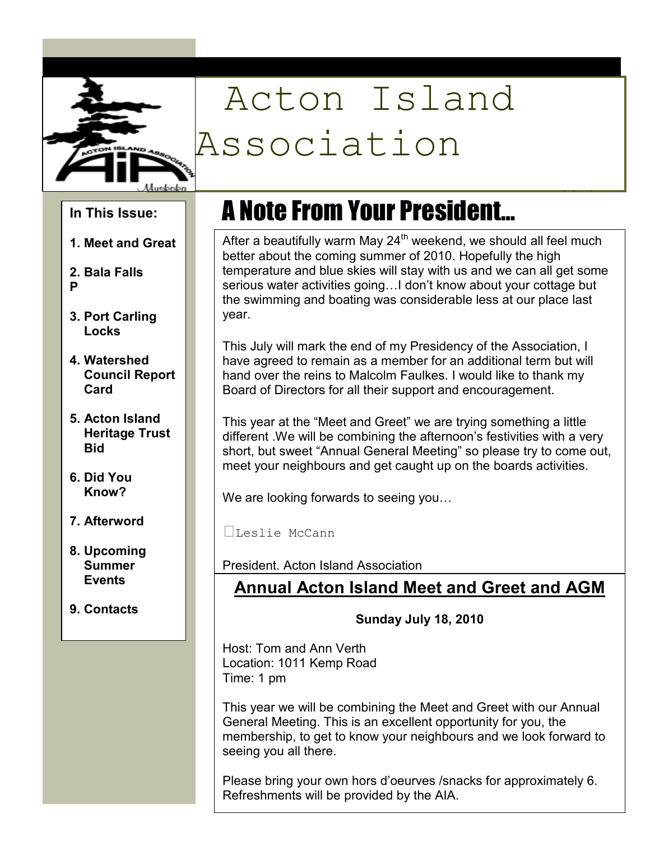

# Acton Island Association

**In This Issue:** 

- **1. Meet and Great**
- **2. Bala Falls P**
- **3. Port Carling Locks**
- **4. Watershed Council Report Card**
- **5. Acton Island Heritage Trust Bid**
- **6. Did You Know?**
- **7. Afterword**
- **8. Upcoming Summer Events**
- **9. Contacts**

## A Note From Your President…

After a beautifully warm May  $24<sup>th</sup>$  weekend, we should all feel much better about the coming summer of 2010. Hopefully the high temperature and blue skies will stay with us and we can all get some serious water activities going... I don't know about your cottage but the swimming and boating was considerable less at our place last year.

June 2010

This July will mark the end of my Presidency of the Association, I have agreed to remain as a member for an additional term but will hand over the reins to Malcolm Faulkes. I would like to thank my Board of Directors for all their support and encouragement.

This year at the "Meet and Greet" we are trying something a little different .We will be combining the afternoon's festivities with a very short, but sweet "Annual General Meeting" so please try to come out, meet your neighbours and get caught up on the boards activities.

We are looking forwards to seeing you...

Leslie McCann

President, Acton Island Association

### **Annual Acton Island Meet and Greet and AGM**

**Sunday July 18, 2010** 

Host: Tom and Ann Verth Location: 1011 Kemp Road Time: 1 pm

This year we will be combining the Meet and Greet with our Annual General Meeting. This is an excellent opportunity for you, the membership, to get to know your neighbours and we look forward to seeing you all there.

Please bring your own hors d'oeurves /snacks for approximately 6. Refreshments will be provided by the AIA.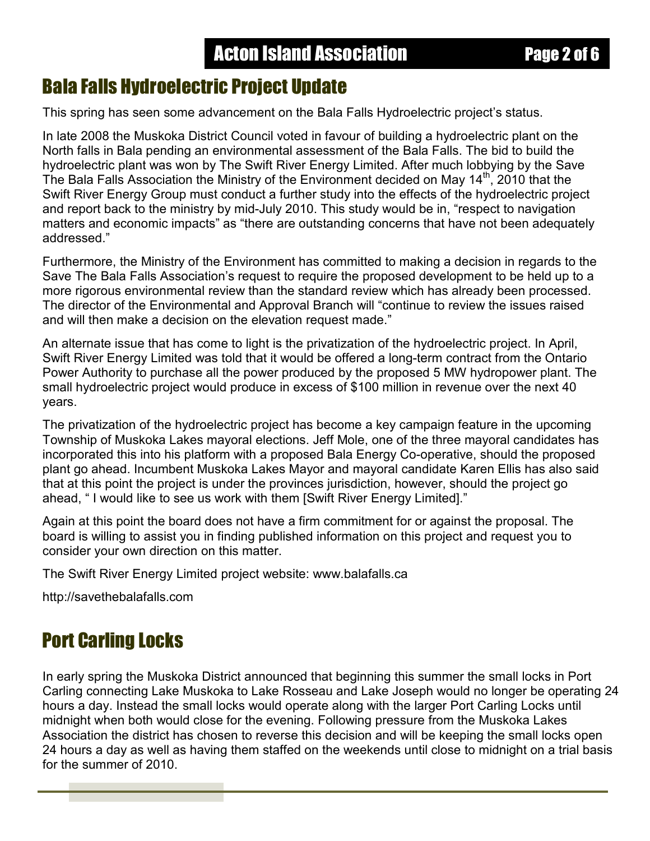#### Ī Bala Falls Hydroelectric Project Update

This spring has seen some advancement on the Bala Falls Hydroelectric project's status.

In late 2008 the Muskoka District Council voted in favour of building a hydroelectric plant on the North falls in Bala pending an environmental assessment of the Bala Falls. The bid to build the hydroelectric plant was won by The Swift River Energy Limited. After much lobbying by the Save The Bala Falls Association the Ministry of the Environment decided on May 14<sup>th</sup>, 2010 that the Swift River Energy Group must conduct a further study into the effects of the hydroelectric project and report back to the ministry by mid-July 2010. This study would be in, "respect to navigation matters and economic impacts" as "there are outstanding concerns that have not been adequately addressed."

Furthermore, the Ministry of the Environment has committed to making a decision in regards to the Save The Bala Falls Association's request to require the proposed development to be held up to a more rigorous environmental review than the standard review which has already been processed. The director of the Environmental and Approval Branch will "continue to review the issues raised and will then make a decision on the elevation request made."

An alternate issue that has come to light is the privatization of the hydroelectric project. In April, Swift River Energy Limited was told that it would be offered a long-term contract from the Ontario Power Authority to purchase all the power produced by the proposed 5 MW hydropower plant. The small hydroelectric project would produce in excess of \$100 million in revenue over the next 40 years.

The privatization of the hydroelectric project has become a key campaign feature in the upcoming Township of Muskoka Lakes mayoral elections. Jeff Mole, one of the three mayoral candidates has incorporated this into his platform with a proposed Bala Energy Co-operative, should the proposed plant go ahead. Incumbent Muskoka Lakes Mayor and mayoral candidate Karen Ellis has also said that at this point the project is under the provinces jurisdiction, however, should the project go ahead, " I would like to see us work with them [Swift River Energy Limited]."

Again at this point the board does not have a firm commitment for or against the proposal. The board is willing to assist you in finding published information on this project and request you to consider your own direction on this matter.

The Swift River Energy Limited project website: www.balafalls.ca

http://savethebalafalls.com

### Port Carling Locks

In early spring the Muskoka District announced that beginning this summer the small locks in Port Carling connecting Lake Muskoka to Lake Rosseau and Lake Joseph would no longer be operating 24 hours a day. Instead the small locks would operate along with the larger Port Carling Locks until midnight when both would close for the evening. Following pressure from the Muskoka Lakes Association the district has chosen to reverse this decision and will be keeping the small locks open 24 hours a day as well as having them staffed on the weekends until close to midnight on a trial basis for the summer of 2010.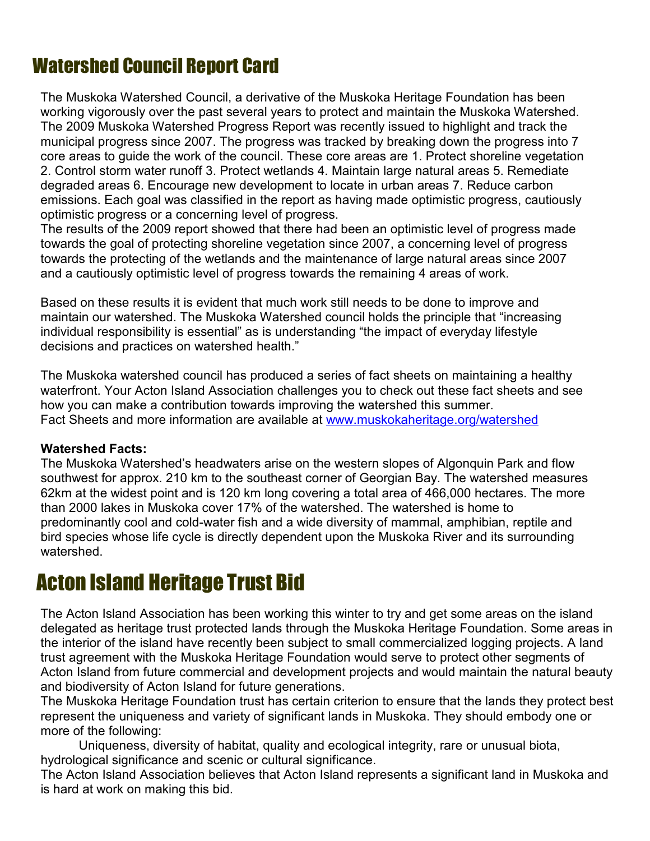### Watershed Council Report Card

The Muskoka Watershed Council, a derivative of the Muskoka Heritage Foundation has been working vigorously over the past several years to protect and maintain the Muskoka Watershed. The 2009 Muskoka Watershed Progress Report was recently issued to highlight and track the municipal progress since 2007. The progress was tracked by breaking down the progress into 7 core areas to guide the work of the council. These core areas are 1. Protect shoreline vegetation 2. Control storm water runoff 3. Protect wetlands 4. Maintain large natural areas 5. Remediate degraded areas 6. Encourage new development to locate in urban areas 7. Reduce carbon emissions. Each goal was classified in the report as having made optimistic progress, cautiously optimistic progress or a concerning level of progress.

The results of the 2009 report showed that there had been an optimistic level of progress made towards the goal of protecting shoreline vegetation since 2007, a concerning level of progress towards the protecting of the wetlands and the maintenance of large natural areas since 2007 and a cautiously optimistic level of progress towards the remaining 4 areas of work.

Based on these results it is evident that much work still needs to be done to improve and maintain our watershed. The Muskoka Watershed council holds the principle that "increasing individual responsibility is essential" as is understanding "the impact of everyday lifestyle decisions and practices on watershed health."

The Muskoka watershed council has produced a series of fact sheets on maintaining a healthy waterfront. Your Acton Island Association challenges you to check out these fact sheets and see how you can make a contribution towards improving the watershed this summer. Fact Sheets and more information are available at www.muskokaheritage.org/watershed

#### **Watershed Facts:**

The Muskoka Watershed's headwaters arise on the western slopes of Algonquin Park and flow southwest for approx. 210 km to the southeast corner of Georgian Bay. The watershed measures 62km at the widest point and is 120 km long covering a total area of 466,000 hectares. The more than 2000 lakes in Muskoka cover 17% of the watershed. The watershed is home to predominantly cool and cold-water fish and a wide diversity of mammal, amphibian, reptile and bird species whose life cycle is directly dependent upon the Muskoka River and its surrounding watershed.

### Acton Island Heritage Trust Bid

The Acton Island Association has been working this winter to try and get some areas on the island delegated as heritage trust protected lands through the Muskoka Heritage Foundation. Some areas in the interior of the island have recently been subject to small commercialized logging projects. A land trust agreement with the Muskoka Heritage Foundation would serve to protect other segments of Acton Island from future commercial and development projects and would maintain the natural beauty and biodiversity of Acton Island for future generations.

The Muskoka Heritage Foundation trust has certain criterion to ensure that the lands they protect best represent the uniqueness and variety of significant lands in Muskoka. They should embody one or more of the following:

Uniqueness, diversity of habitat, quality and ecological integrity, rare or unusual biota, hydrological significance and scenic or cultural significance.

The Acton Island Association believes that Acton Island represents a significant land in Muskoka and is hard at work on making this bid.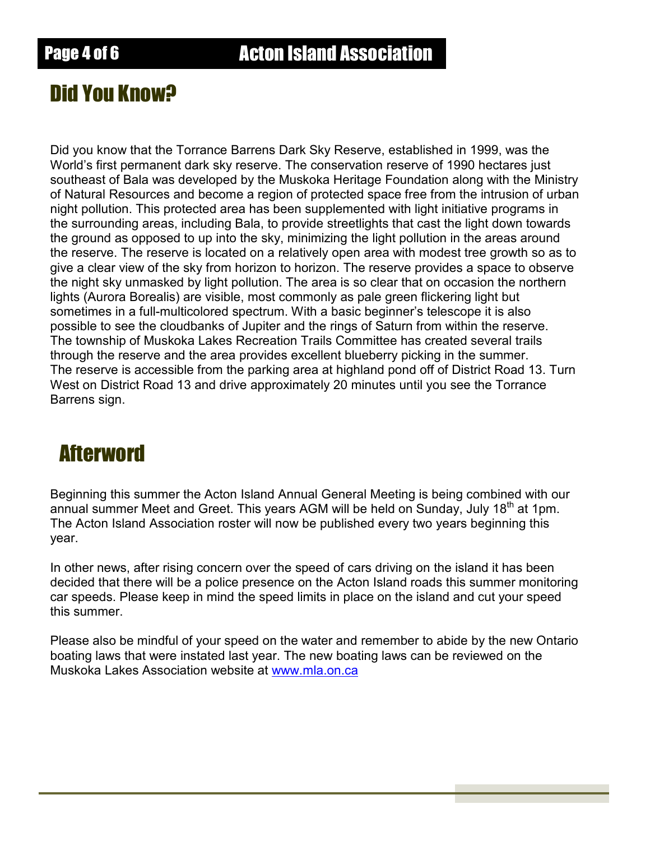### Did You Know?

Did you know that the Torrance Barrens Dark Sky Reserve, established in 1999, was the World's first permanent dark sky reserve. The conservation reserve of 1990 hectares just southeast of Bala was developed by the Muskoka Heritage Foundation along with the Ministry of Natural Resources and become a region of protected space free from the intrusion of urban night pollution. This protected area has been supplemented with light initiative programs in the surrounding areas, including Bala, to provide streetlights that cast the light down towards the ground as opposed to up into the sky, minimizing the light pollution in the areas around the reserve. The reserve is located on a relatively open area with modest tree growth so as to give a clear view of the sky from horizon to horizon. The reserve provides a space to observe the night sky unmasked by light pollution. The area is so clear that on occasion the northern lights (Aurora Borealis) are visible, most commonly as pale green flickering light but sometimes in a full-multicolored spectrum. With a basic beginner's telescope it is also possible to see the cloudbanks of Jupiter and the rings of Saturn from within the reserve. The township of Muskoka Lakes Recreation Trails Committee has created several trails through the reserve and the area provides excellent blueberry picking in the summer. The reserve is accessible from the parking area at highland pond off of District Road 13. Turn West on District Road 13 and drive approximately 20 minutes until you see the Torrance Barrens sign.

### Afterword

Beginning this summer the Acton Island Annual General Meeting is being combined with our annual summer Meet and Greet. This years AGM will be held on Sunday, July 18<sup>th</sup> at 1pm. The Acton Island Association roster will now be published every two years beginning this year.

In other news, after rising concern over the speed of cars driving on the island it has been decided that there will be a police presence on the Acton Island roads this summer monitoring car speeds. Please keep in mind the speed limits in place on the island and cut your speed this summer.

Please also be mindful of your speed on the water and remember to abide by the new Ontario boating laws that were instated last year. The new boating laws can be reviewed on the Muskoka Lakes Association website at www.mla.on.ca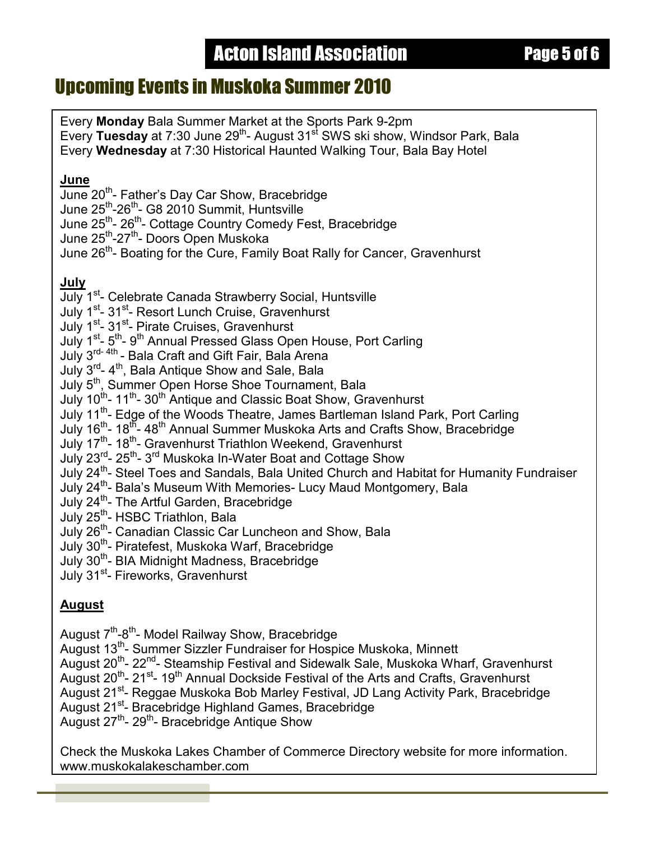### **Acton Island Association Page 5 of 6**

#### Upcoming Events in Muskoka Summer 2010

Every **Monday** Bala Summer Market at the Sports Park 9-2pm Every **Tuesday** at 7:30 June 29<sup>th</sup>- August 31<sup>st</sup> SWS ski show, Windsor Park, Bala Every **Wednesday** at 7:30 Historical Haunted Walking Tour, Bala Bay Hotel

#### **June**

June 20<sup>th</sup>- Father's Day Car Show, Bracebridge

June 25<sup>th</sup>-26<sup>th</sup>- G8 2010 Summit, Huntsville

June 25<sup>th</sup>- 26<sup>th</sup>- Cottage Country Comedy Fest, Bracebridge

June 25th-27th- Doors Open Muskoka

June 26<sup>th</sup>- Boating for the Cure, Family Boat Rally for Cancer, Gravenhurst

#### **July**

- July 1<sup>st</sup>- Celebrate Canada Strawberry Social, Huntsville
- July 1<sup>st</sup>- 31<sup>st</sup>- Resort Lunch Cruise, Gravenhurst
- July 1<sup>st</sup>- 31<sup>st</sup>- Pirate Cruises, Gravenhurst
- July 1<sup>st</sup>- 5<sup>th</sup>- 9<sup>th</sup> Annual Pressed Glass Open House, Port Carling
- July 3<sup>rd- 4th</sup> Bala Craft and Gift Fair, Bala Arena
- July 3<sup>rd</sup>- 4<sup>th</sup>, Bala Craft and Glit Fair, Bala Arena<br>July 3<sup>rd</sup>- 4<sup>th</sup>, Bala Antique Show and Sale, Bala
- July 5<sup>th</sup>, Summer Open Horse Shoe Tournament, Bala
- July 10<sup>th</sup>- 11<sup>th</sup>- 30<sup>th</sup> Antique and Classic Boat Show, Gravenhurst
- July 11<sup>th</sup>- Edge of the Woods Theatre, James Bartleman Island Park, Port Carling
- July 16<sup>th</sup>- 18<sup>th</sup>- 48<sup>th</sup> Annual Summer Muskoka Arts and Crafts Show, Bracebridge
- July 17<sup>th</sup>- 18<sup>th</sup>- Gravenhurst Triathlon Weekend, Gravenhurst
- July 23<sup>rd</sup>- 25<sup>th</sup>-3<sup>rd</sup> Muskoka In-Water Boat and Cottage Show
- July 24<sup>th</sup>- Steel Toes and Sandals, Bala United Church and Habitat for Humanity Fundraiser
- July 24<sup>th</sup>- Bala's Museum With Memories- Lucy Maud Montgomery, Bala
- July 24<sup>th</sup>- The Artful Garden, Bracebridge
- July 25<sup>th</sup>- HSBC Triathlon, Bala
- July 26<sup>th</sup>- Canadian Classic Car Luncheon and Show, Bala
- July 30<sup>th</sup>- Piratefest, Muskoka Warf, Bracebridge
- July 30<sup>th</sup>- BIA Midnight Madness, Bracebridge
- July 31<sup>st</sup>- Fireworks, Gravenhurst

#### **August**

August 7<sup>th</sup>-8<sup>th</sup>- Model Railway Show, Bracebridge

August 13<sup>th</sup>- Summer Sizzler Fundraiser for Hospice Muskoka, Minnett

August 20<sup>th</sup>- 22<sup>nd</sup>- Steamship Festival and Sidewalk Sale, Muskoka Wharf, Gravenhurst

August 20<sup>th</sup>- 21<sup>st</sup>- 19<sup>th</sup> Annual Dockside Festival of the Arts and Crafts, Gravenhurst

August 21<sup>st</sup>- Reggae Muskoka Bob Marley Festival, JD Lang Activity Park, Bracebridge

August 21<sup>st</sup>- Bracebridge Highland Games, Bracebridge

August  $27^{th}$ -  $29^{th}$ - Bracebridge Antique Show

Check the Muskoka Lakes Chamber of Commerce Directory website for more information. www.muskokalakeschamber.com